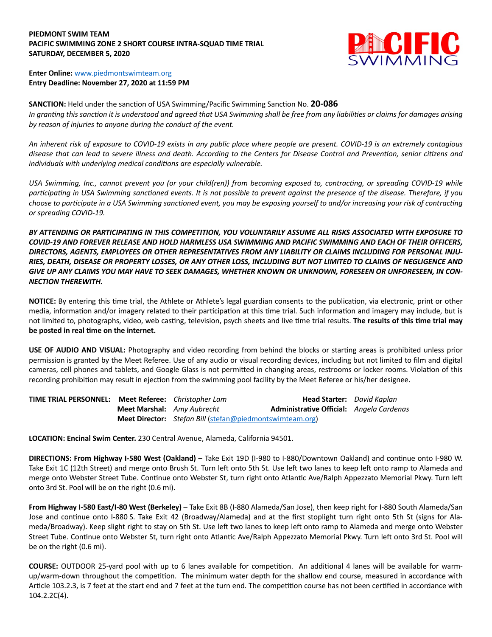## **PIEDMONT SWIM TEAM PACIFIC SWIMMING ZONE 2 SHORT COURSE INTRA-SQUAD TIME TRIAL SATURDAY, DECEMBER 5, 2020**



## **Enter Online:** www.piedmontswimteam.org **Entry Deadline: November 27, 2020 at 11:59 PM**

**SANCTION:** Held under the sanction of USA Swimming/Pacific Swimming Sanction No. **20-086** In granting this sanction it is understood and agreed that USA Swimming shall be free from any liabilities or claims for damages arising *by reason of injuries to anyone during the conduct of the event.*

*An inherent risk of exposure to COVID-19 exists in any public place where people are present. COVID-19 is an extremely contagious disease that can lead to severe illness and death. According to the Centers for Disease Control and Preven'on, senior ci'zens and*  individuals with underlying medical conditions are especially vulnerable.

*USA Swimming, Inc., cannot prevent you (or your child(ren)) from becoming exposed to, contracting, or spreading COVID-19 while* participating in USA Swimming sanctioned events. It is not possible to prevent against the presence of the disease. Therefore, if you choose to participate in a USA Swimming sanctioned event, you may be exposing yourself to and/or increasing your risk of contracting *or spreading COVID-19.*

*BY ATTENDING OR PARTICIPATING IN THIS COMPETITION, YOU VOLUNTARILY ASSUME ALL RISKS ASSOCIATED WITH EXPOSURE TO COVID-19 AND FOREVER RELEASE AND HOLD HARMLESS USA SWIMMING AND PACIFIC SWIMMING AND EACH OF THEIR OFFICERS, DIRECTORS, AGENTS, EMPLOYEES OR OTHER REPRESENTATIVES FROM ANY LIABILITY OR CLAIMS INCLUDING FOR PERSONAL INJU-RIES, DEATH, DISEASE OR PROPERTY LOSSES, OR ANY OTHER LOSS, INCLUDING BUT NOT LIMITED TO CLAIMS OF NEGLIGENCE AND GIVE UP ANY CLAIMS YOU MAY HAVE TO SEEK DAMAGES, WHETHER KNOWN OR UNKNOWN, FORESEEN OR UNFORESEEN, IN CON-NECTION THEREWITH.*

**NOTICE:** By entering this time trial, the Athlete or Athlete's legal guardian consents to the publication, via electronic, print or other media, information and/or imagery related to their participation at this time trial. Such information and imagery may include, but is not limited to, photographs, video, web casting, television, psych sheets and live time trial results. **The results of this time trial may** be posted in real time on the internet.

**USE OF AUDIO AND VISUAL:** Photography and video recording from behind the blocks or starting areas is prohibited unless prior permission is granted by the Meet Referee. Use of any audio or visual recording devices, including but not limited to film and digital cameras, cell phones and tablets, and Google Glass is not permitted in changing areas, restrooms or locker rooms. Violation of this recording prohibition may result in ejection from the swimming pool facility by the Meet Referee or his/her designee.

| <b>TIME TRIAL PERSONNEL: Meet Referee: Christopher Lam</b> |                                   |                                                                 | <b>Head Starter:</b> David Kaplan        |  |
|------------------------------------------------------------|-----------------------------------|-----------------------------------------------------------------|------------------------------------------|--|
|                                                            | <b>Meet Marshal:</b> Amy Aubrecht |                                                                 | Administrative Official: Angela Cardenas |  |
|                                                            |                                   | <b>Meet Director:</b> Stefan Bill (stefan@piedmontswimteam.org) |                                          |  |

**LOCATION: Encinal Swim Center.** 230 Central Avenue, Alameda, California 94501.

**DIRECTIONS: From Highway I-580 West (Oakland)** – Take Exit 19D (I-980 to I-880/Downtown Oakland) and continue onto I-980 W. Take Exit 1C (12th Street) and merge onto Brush St. Turn left onto 5th St. Use left two lanes to keep left onto ramp to Alameda and merge onto Webster Street Tube. Continue onto Webster St, turn right onto Atlantic Ave/Ralph Appezzato Memorial Pkwy. Turn left onto 3rd St. Pool will be on the right (0.6 mi).

**From Highway I-580 East/I-80 West (Berkeley)** – Take Exit 8B (I-880 Alameda/San Jose), then keep right for I-880 South Alameda/San Jose and continue onto I-880 S. Take Exit 42 (Broadway/Alameda) and at the first stoplight turn right onto 5th St (signs for Alameda/Broadway). Keep slight right to stay on 5th St. Use left two lanes to keep left onto ramp to Alameda and merge onto Webster Street Tube. Continue onto Webster St, turn right onto Atlantic Ave/Ralph Appezzato Memorial Pkwy. Turn left onto 3rd St. Pool will be on the right (0.6 mi).

**COURSE:** OUTDOOR 25-yard pool with up to 6 lanes available for competition. An additional 4 lanes will be available for warmup/warm-down throughout the competition. The minimum water depth for the shallow end course, measured in accordance with Article 103.2.3, is 7 feet at the start end and 7 feet at the turn end. The competition course has not been certified in accordance with 104.2.2C(4).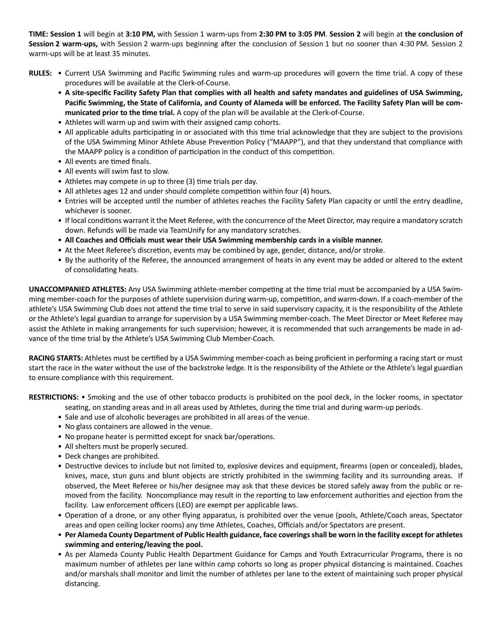**TIME: Session 1** will begin at **3:10 PM,** with Session 1 warm-ups from **2:30 PM to 3:05 PM**. **Session 2** will begin at **the conclusion of**  Session 2 warm-ups, with Session 2 warm-ups beginning after the conclusion of Session 1 but no sooner than 4:30 PM. Session 2 warm-ups will be at least 35 minutes.

- RULES: . Current USA Swimming and Pacific Swimming rules and warm-up procedures will govern the time trial. A copy of these procedures will be available at the Clerk-of-Course.
	- **A site-specific Facility Safety Plan that complies with all health and safety mandates and guidelines of USA Swimming, Pacific Swimming, the State of California, and County of Alameda will be enforced. The Facility Safety Plan will be communicated prior to the Tme trial.** A copy of the plan will be available at the Clerk-of-Course.
	- Athletes will warm up and swim with their assigned camp cohorts.
	- All applicable adults participating in or associated with this time trial acknowledge that they are subject to the provisions of the USA Swimming Minor Athlete Abuse Prevention Policy ("MAAPP"), and that they understand that compliance with the MAAPP policy is a condition of participation in the conduct of this competition.
	- All events are timed finals.
	- All events will swim fast to slow.
	- Athletes may compete in up to three (3) time trials per day.
	- All athletes ages 12 and under should complete competition within four (4) hours.
	- Entries will be accepted until the number of athletes reaches the Facility Safety Plan capacity or until the entry deadline, whichever is sooner.
	- If local conditions warrant it the Meet Referee, with the concurrence of the Meet Director, may require a mandatory scratch down. Refunds will be made via TeamUnify for any mandatory scratches.
	- **All Coaches and Officials must wear their USA Swimming membership cards in a visible manner.**
	- At the Meet Referee's discretion, events may be combined by age, gender, distance, and/or stroke.
	- By the authority of the Referee, the announced arrangement of heats in any event may be added or altered to the extent of consolidating heats.

**UNACCOMPANIED ATHLETES:** Any USA Swimming athlete-member competing at the time trial must be accompanied by a USA Swimming member-coach for the purposes of athlete supervision during warm-up, competition, and warm-down. If a coach-member of the athlete's USA Swimming Club does not attend the time trial to serve in said supervisory capacity, it is the responsibility of the Athlete or the Athlete's legal guardian to arrange for supervision by a USA Swimming member-coach. The Meet Director or Meet Referee may assist the Athlete in making arrangements for such supervision; however, it is recommended that such arrangements be made in advance of the time trial by the Athlete's USA Swimming Club Member-Coach.

RACING STARTS: Athletes must be certified by a USA Swimming member-coach as being proficient in performing a racing start or must start the race in the water without the use of the backstroke ledge. It is the responsibility of the Athlete or the Athlete's legal guardian to ensure compliance with this requirement.

**RESTRICTIONS:** • Smoking and the use of other tobacco products is prohibited on the pool deck, in the locker rooms, in spectator

- seating, on standing areas and in all areas used by Athletes, during the time trial and during warm-up periods. • Sale and use of alcoholic beverages are prohibited in all areas of the venue.
- No glass containers are allowed in the venue.
- No propane heater is permitted except for snack bar/operations.
- All shelters must be properly secured.
- Deck changes are prohibited.
- Destructive devices to include but not limited to, explosive devices and equipment, firearms (open or concealed), blades, knives, mace, stun guns and blunt objects are strictly prohibited in the swimming facility and its surrounding areas. If observed, the Meet Referee or his/her designee may ask that these devices be stored safely away from the public or removed from the facility. Noncompliance may result in the reporting to law enforcement authorities and ejection from the facility. Law enforcement officers (LEO) are exempt per applicable laws.
- Operation of a drone, or any other flying apparatus, is prohibited over the venue (pools, Athlete/Coach areas, Spectator areas and open ceiling locker rooms) any time Athletes, Coaches, Officials and/or Spectators are present.
- **Per Alameda County Department of Public Health guidance, face coverings shall be worn in the facility except for athletes swimming and entering/leaving the pool.**
- As per Alameda County Public Health Department Guidance for Camps and Youth Extracurricular Programs, there is no maximum number of athletes per lane within camp cohorts so long as proper physical distancing is maintained. Coaches and/or marshals shall monitor and limit the number of athletes per lane to the extent of maintaining such proper physical distancing.